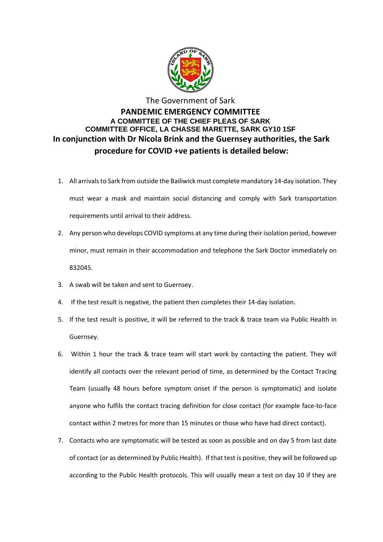

## The Government of Sark **PANDEMIC EMERGENCY COMMITTEE A COMMITTEE OF THE CHIEF PLEAS OF SARK COMMITTEE OFFICE, LA CHASSE MARETTE, SARK GY10 1SF In conjunction with Dr Nicola Brink and the Guernsey authorities, the Sark procedure for COVID +ve patients is detailed below:**

- 1. All arrivals to Sark from outside the Bailiwick must complete mandatory 14-day isolation. They must wear a mask and maintain social distancing and comply with Sark transportation requirements until arrival to their address.
- 2. Any person who develops COVID symptoms at any time during their isolation period, however minor, must remain in their accommodation and telephone the Sark Doctor immediately on 832045.
- 3. A swab will be taken and sent to Guernsey.
- 4. If the test result is negative, the patient then completes their 14-day isolation.
- 5. If the test result is positive, it will be referred to the track & trace team via Public Health in Guernsey.
- 6. Within 1 hour the track & trace team will start work by contacting the patient. They will identify all contacts over the relevant period of time, as determined by the Contact Tracing Team (usually 48 hours before symptom onset if the person is symptomatic) and isolate anyone who fulfils the contact tracing definition for close contact (for example face-to-face contact within 2 metres for more than 15 minutes or those who have had direct contact).
- 7. Contacts who are symptomatic will be tested as soon as possible and on day 5 from last date of contact (or as determined by Public Health). If that test is positive, they will be followed up according to the Public Health protocols. This will usually mean a test on day 10 if they are